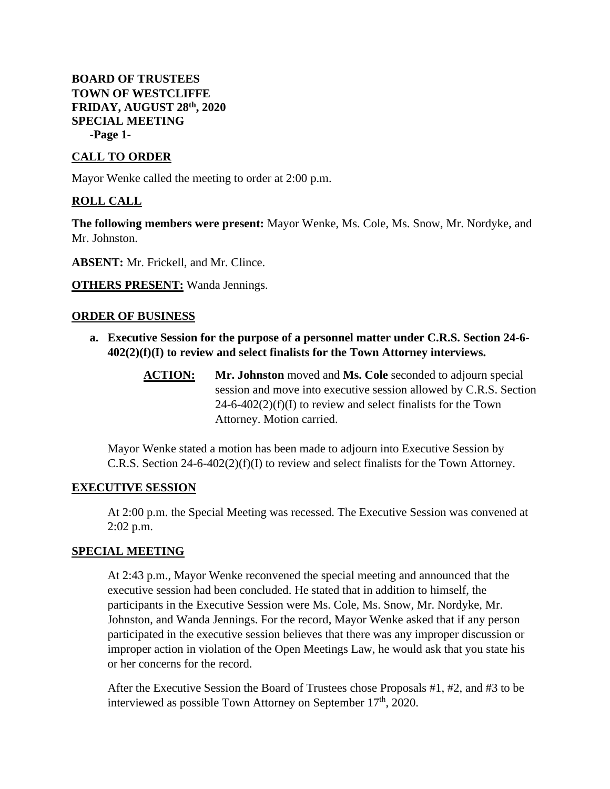## **BOARD OF TRUSTEES TOWN OF WESTCLIFFE FRIDAY, AUGUST 28th, 2020 SPECIAL MEETING -Page 1-**

## **CALL TO ORDER**

Mayor Wenke called the meeting to order at 2:00 p.m.

# **ROLL CALL**

**The following members were present:** Mayor Wenke, Ms. Cole, Ms. Snow, Mr. Nordyke, and Mr. Johnston.

**ABSENT:** Mr. Frickell, and Mr. Clince.

**OTHERS PRESENT:** Wanda Jennings.

#### **ORDER OF BUSINESS**

- **a. Executive Session for the purpose of a personnel matter under C.R.S. Section 24-6- 402(2)(f)(I) to review and select finalists for the Town Attorney interviews.**
	- **ACTION: Mr. Johnston** moved and **Ms. Cole** seconded to adjourn special session and move into executive session allowed by C.R.S. Section  $24-6-402(2)(f)(I)$  to review and select finalists for the Town Attorney. Motion carried.

Mayor Wenke stated a motion has been made to adjourn into Executive Session by C.R.S. Section 24-6-402(2)(f)(I) to review and select finalists for the Town Attorney.

### **EXECUTIVE SESSION**

At 2:00 p.m. the Special Meeting was recessed. The Executive Session was convened at 2:02 p.m.

#### **SPECIAL MEETING**

At 2:43 p.m., Mayor Wenke reconvened the special meeting and announced that the executive session had been concluded. He stated that in addition to himself, the participants in the Executive Session were Ms. Cole, Ms. Snow, Mr. Nordyke, Mr. Johnston, and Wanda Jennings. For the record, Mayor Wenke asked that if any person participated in the executive session believes that there was any improper discussion or improper action in violation of the Open Meetings Law, he would ask that you state his or her concerns for the record.

After the Executive Session the Board of Trustees chose Proposals #1, #2, and #3 to be interviewed as possible Town Attorney on September 17<sup>th</sup>, 2020.